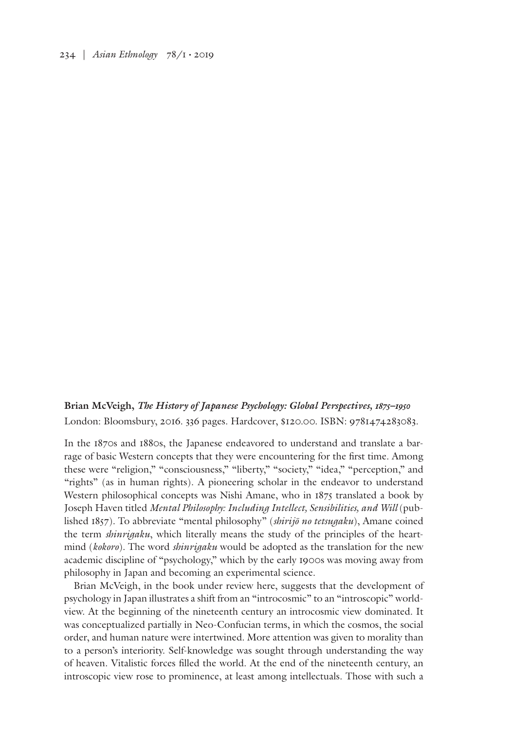234 | *Asian Ethnology* 78/1 • 2019

**Brian McVeigh,** *The History of Japanese Psychology: Global Perspectives, 1875–1950* London: Bloomsbury, 2016. 336 pages. Hardcover, \$120.00. ISBN: 9781474283083.

In the 1870s and 1880s, the Japanese endeavored to understand and translate a barrage of basic Western concepts that they were encountering for the first time. Among these were "religion," "consciousness," "liberty," "society," "idea," "perception," and "rights" (as in human rights). A pioneering scholar in the endeavor to understand Western philosophical concepts was Nishi Amane, who in 1875 translated a book by Joseph Haven titled *Mental Philosophy: Including Intellect, Sensibilities, and Will* (published 1857)*.* To abbreviate "mental philosophy" (*shirijō no tetsugaku*), Amane coined the term *shinrigaku*, which literally means the study of the principles of the heartmind (*kokoro*). The word *shinrigaku* would be adopted as the translation for the new academic discipline of "psychology," which by the early 1900s was moving away from philosophy in Japan and becoming an experimental science.

Brian McVeigh, in the book under review here, suggests that the development of psychology in Japan illustrates a shift from an "introcosmic" to an "introscopic" worldview. At the beginning of the nineteenth century an introcosmic view dominated. It was conceptualized partially in Neo-Confucian terms, in which the cosmos, the social order, and human nature were intertwined. More attention was given to morality than to a person's interiority. Self-knowledge was sought through understanding the way of heaven. Vitalistic forces filled the world. At the end of the nineteenth century, an introscopic view rose to prominence, at least among intellectuals. Those with such a